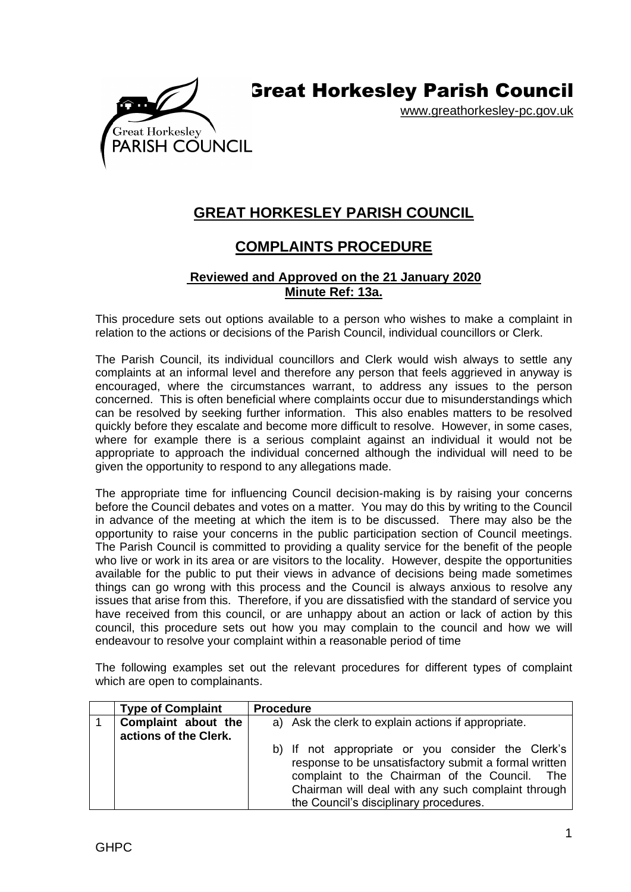

www.greathorkesley-pc.gov.uk



## **COMPLAINTS PROCEDURE**

## **Reviewed and Approved on the 21 January 2020 Minute Ref: 13a.**

This procedure sets out options available to a person who wishes to make a complaint in relation to the actions or decisions of the Parish Council, individual councillors or Clerk.

The Parish Council, its individual councillors and Clerk would wish always to settle any complaints at an informal level and therefore any person that feels aggrieved in anyway is encouraged, where the circumstances warrant, to address any issues to the person concerned. This is often beneficial where complaints occur due to misunderstandings which can be resolved by seeking further information. This also enables matters to be resolved quickly before they escalate and become more difficult to resolve. However, in some cases, where for example there is a serious complaint against an individual it would not be appropriate to approach the individual concerned although the individual will need to be given the opportunity to respond to any allegations made.

The appropriate time for influencing Council decision-making is by raising your concerns before the Council debates and votes on a matter. You may do this by writing to the Council in advance of the meeting at which the item is to be discussed. There may also be the opportunity to raise your concerns in the public participation section of Council meetings. The Parish Council is committed to providing a quality service for the benefit of the people who live or work in its area or are visitors to the locality. However, despite the opportunities available for the public to put their views in advance of decisions being made sometimes things can go wrong with this process and the Council is always anxious to resolve any issues that arise from this. Therefore, if you are dissatisfied with the standard of service you have received from this council, or are unhappy about an action or lack of action by this council, this procedure sets out how you may complain to the council and how we will endeavour to resolve your complaint within a reasonable period of time

The following examples set out the relevant procedures for different types of complaint which are open to complainants.

| <b>Type of Complaint</b>                     | <b>Procedure</b>                                                                                                                                                                                                                                            |
|----------------------------------------------|-------------------------------------------------------------------------------------------------------------------------------------------------------------------------------------------------------------------------------------------------------------|
| Complaint about the<br>actions of the Clerk. | a) Ask the clerk to explain actions if appropriate.                                                                                                                                                                                                         |
|                                              | b) If not appropriate or you consider the Clerk's<br>response to be unsatisfactory submit a formal written<br>complaint to the Chairman of the Council. The<br>Chairman will deal with any such complaint through<br>the Council's disciplinary procedures. |

Great Horkesley

PARISH COUNCIL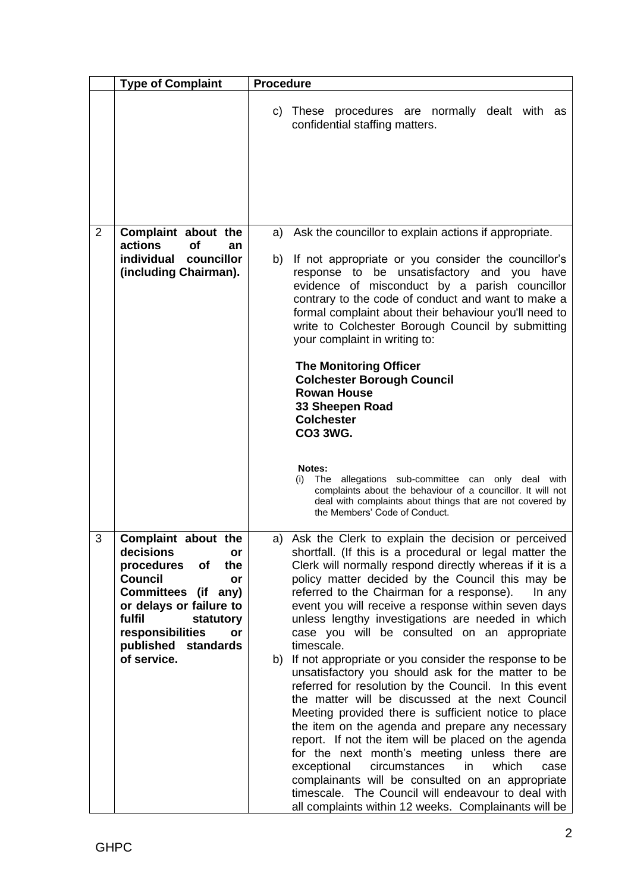|                | <b>Type of Complaint</b>                                                                                                                                                                                                           | <b>Procedure</b>                                                                                                                                                                                                                                                                                                                                                                                                                                                                                                                                                                   |
|----------------|------------------------------------------------------------------------------------------------------------------------------------------------------------------------------------------------------------------------------------|------------------------------------------------------------------------------------------------------------------------------------------------------------------------------------------------------------------------------------------------------------------------------------------------------------------------------------------------------------------------------------------------------------------------------------------------------------------------------------------------------------------------------------------------------------------------------------|
|                |                                                                                                                                                                                                                                    | c) These procedures are normally dealt with as<br>confidential staffing matters.                                                                                                                                                                                                                                                                                                                                                                                                                                                                                                   |
|                |                                                                                                                                                                                                                                    |                                                                                                                                                                                                                                                                                                                                                                                                                                                                                                                                                                                    |
| $\overline{2}$ | Complaint about the<br>actions<br><b>of</b>                                                                                                                                                                                        | a) Ask the councillor to explain actions if appropriate.                                                                                                                                                                                                                                                                                                                                                                                                                                                                                                                           |
|                | an<br>individual<br>councillor<br>(including Chairman).                                                                                                                                                                            | If not appropriate or you consider the councillor's<br>b)<br>response to be unsatisfactory and you<br>have<br>evidence of misconduct by a parish councillor<br>contrary to the code of conduct and want to make a<br>formal complaint about their behaviour you'll need to<br>write to Colchester Borough Council by submitting<br>your complaint in writing to:                                                                                                                                                                                                                   |
|                |                                                                                                                                                                                                                                    | <b>The Monitoring Officer</b><br><b>Colchester Borough Council</b><br><b>Rowan House</b><br>33 Sheepen Road<br><b>Colchester</b><br><b>CO3 3WG.</b>                                                                                                                                                                                                                                                                                                                                                                                                                                |
|                |                                                                                                                                                                                                                                    | Notes:<br>The allegations sub-committee can only deal with<br>(i)<br>complaints about the behaviour of a councillor. It will not<br>deal with complaints about things that are not covered by<br>the Members' Code of Conduct.                                                                                                                                                                                                                                                                                                                                                     |
| 3              | Complaint about the<br>decisions<br>ог<br>procedures<br>the<br><b>of</b><br>Council<br>or<br>Committees (if any)<br>or delays or failure to<br>fulfil<br>statutory<br>responsibilities<br>or<br>published standards<br>of service. | a) Ask the Clerk to explain the decision or perceived<br>shortfall. (If this is a procedural or legal matter the<br>Clerk will normally respond directly whereas if it is a<br>policy matter decided by the Council this may be<br>referred to the Chairman for a response).<br>In any<br>event you will receive a response within seven days<br>unless lengthy investigations are needed in which<br>case you will be consulted on an appropriate<br>timescale.<br>b) If not appropriate or you consider the response to be<br>unsatisfactory you should ask for the matter to be |
|                |                                                                                                                                                                                                                                    | referred for resolution by the Council. In this event<br>the matter will be discussed at the next Council<br>Meeting provided there is sufficient notice to place<br>the item on the agenda and prepare any necessary<br>report. If not the item will be placed on the agenda<br>for the next month's meeting unless there are<br>exceptional<br>circumstances<br>in i<br>which<br>case<br>complainants will be consulted on an appropriate<br>timescale. The Council will endeavour to deal with<br>all complaints within 12 weeks. Complainants will be                          |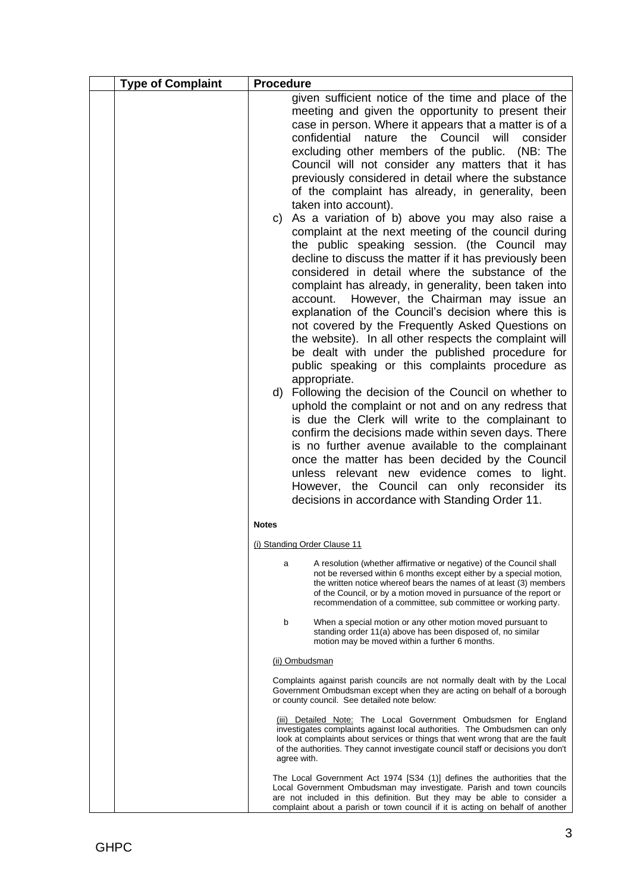| <b>Type of Complaint</b> | <b>Procedure</b>                                                                                                                                                                                                                                                                                                                                                                                                                                                                                                                                                                                                                                                                                                                                                                                                                                                                                                                                                                                                                                                                                                                                                                                                                                                                                                                                                                                                                                                                                                                                                                         |
|--------------------------|------------------------------------------------------------------------------------------------------------------------------------------------------------------------------------------------------------------------------------------------------------------------------------------------------------------------------------------------------------------------------------------------------------------------------------------------------------------------------------------------------------------------------------------------------------------------------------------------------------------------------------------------------------------------------------------------------------------------------------------------------------------------------------------------------------------------------------------------------------------------------------------------------------------------------------------------------------------------------------------------------------------------------------------------------------------------------------------------------------------------------------------------------------------------------------------------------------------------------------------------------------------------------------------------------------------------------------------------------------------------------------------------------------------------------------------------------------------------------------------------------------------------------------------------------------------------------------------|
|                          | given sufficient notice of the time and place of the<br>meeting and given the opportunity to present their<br>case in person. Where it appears that a matter is of a<br>confidential nature the Council will consider<br>excluding other members of the public. (NB: The<br>Council will not consider any matters that it has<br>previously considered in detail where the substance<br>of the complaint has already, in generality, been<br>taken into account).<br>As a variation of b) above you may also raise a<br>C)<br>complaint at the next meeting of the council during<br>the public speaking session. (the Council may<br>decline to discuss the matter if it has previously been<br>considered in detail where the substance of the<br>complaint has already, in generality, been taken into<br>account. However, the Chairman may issue an<br>explanation of the Council's decision where this is<br>not covered by the Frequently Asked Questions on<br>the website). In all other respects the complaint will<br>be dealt with under the published procedure for<br>public speaking or this complaints procedure as<br>appropriate.<br>d) Following the decision of the Council on whether to<br>uphold the complaint or not and on any redress that<br>is due the Clerk will write to the complainant to<br>confirm the decisions made within seven days. There<br>is no further avenue available to the complainant<br>once the matter has been decided by the Council<br>unless relevant new evidence comes to light.<br>However, the Council can only reconsider its |
|                          | decisions in accordance with Standing Order 11.                                                                                                                                                                                                                                                                                                                                                                                                                                                                                                                                                                                                                                                                                                                                                                                                                                                                                                                                                                                                                                                                                                                                                                                                                                                                                                                                                                                                                                                                                                                                          |
|                          | <b>Notes</b>                                                                                                                                                                                                                                                                                                                                                                                                                                                                                                                                                                                                                                                                                                                                                                                                                                                                                                                                                                                                                                                                                                                                                                                                                                                                                                                                                                                                                                                                                                                                                                             |
|                          | (i) Standing Order Clause 11                                                                                                                                                                                                                                                                                                                                                                                                                                                                                                                                                                                                                                                                                                                                                                                                                                                                                                                                                                                                                                                                                                                                                                                                                                                                                                                                                                                                                                                                                                                                                             |
|                          | A resolution (whether affirmative or negative) of the Council shall<br>a<br>not be reversed within 6 months except either by a special motion,<br>the written notice whereof bears the names of at least (3) members<br>of the Council, or by a motion moved in pursuance of the report or<br>recommendation of a committee, sub committee or working party.                                                                                                                                                                                                                                                                                                                                                                                                                                                                                                                                                                                                                                                                                                                                                                                                                                                                                                                                                                                                                                                                                                                                                                                                                             |
|                          | b<br>When a special motion or any other motion moved pursuant to<br>standing order 11(a) above has been disposed of, no similar<br>motion may be moved within a further 6 months.                                                                                                                                                                                                                                                                                                                                                                                                                                                                                                                                                                                                                                                                                                                                                                                                                                                                                                                                                                                                                                                                                                                                                                                                                                                                                                                                                                                                        |
|                          | (ii) Ombudsman                                                                                                                                                                                                                                                                                                                                                                                                                                                                                                                                                                                                                                                                                                                                                                                                                                                                                                                                                                                                                                                                                                                                                                                                                                                                                                                                                                                                                                                                                                                                                                           |
|                          | Complaints against parish councils are not normally dealt with by the Local<br>Government Ombudsman except when they are acting on behalf of a borough<br>or county council. See detailed note below:                                                                                                                                                                                                                                                                                                                                                                                                                                                                                                                                                                                                                                                                                                                                                                                                                                                                                                                                                                                                                                                                                                                                                                                                                                                                                                                                                                                    |
|                          | (iii) Detailed Note: The Local Government Ombudsmen for England<br>investigates complaints against local authorities. The Ombudsmen can only<br>look at complaints about services or things that went wrong that are the fault<br>of the authorities. They cannot investigate council staff or decisions you don't<br>agree with.                                                                                                                                                                                                                                                                                                                                                                                                                                                                                                                                                                                                                                                                                                                                                                                                                                                                                                                                                                                                                                                                                                                                                                                                                                                        |
|                          | The Local Government Act 1974 [S34 (1)] defines the authorities that the<br>Local Government Ombudsman may investigate. Parish and town councils<br>are not included in this definition. But they may be able to consider a<br>complaint about a parish or town council if it is acting on behalf of another                                                                                                                                                                                                                                                                                                                                                                                                                                                                                                                                                                                                                                                                                                                                                                                                                                                                                                                                                                                                                                                                                                                                                                                                                                                                             |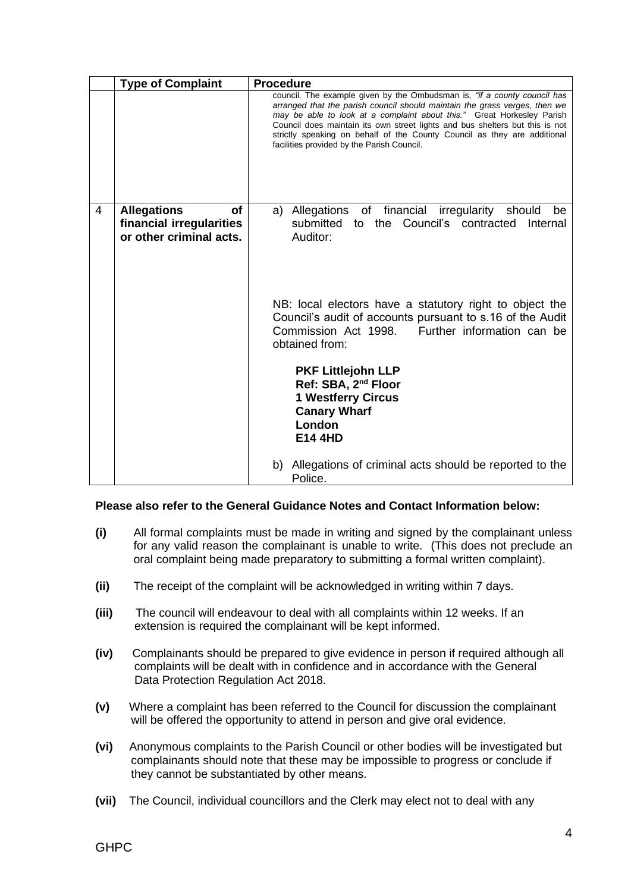|   | <b>Type of Complaint</b>                                                        | <b>Procedure</b>                                                                                                                                                                                                                                                                                                                                                                                                                           |
|---|---------------------------------------------------------------------------------|--------------------------------------------------------------------------------------------------------------------------------------------------------------------------------------------------------------------------------------------------------------------------------------------------------------------------------------------------------------------------------------------------------------------------------------------|
|   |                                                                                 | council. The example given by the Ombudsman is, "if a county council has<br>arranged that the parish council should maintain the grass verges, then we<br>may be able to look at a complaint about this." Great Horkesley Parish<br>Council does maintain its own street lights and bus shelters but this is not<br>strictly speaking on behalf of the County Council as they are additional<br>facilities provided by the Parish Council. |
| 4 | <b>Allegations</b><br>οf<br>financial irregularities<br>or other criminal acts. | a) Allegations of financial<br>irregularity<br>should<br>be<br>submitted to the Council's contracted<br>Internal<br>Auditor:                                                                                                                                                                                                                                                                                                               |
|   |                                                                                 | NB: local electors have a statutory right to object the<br>Council's audit of accounts pursuant to s.16 of the Audit<br>Further information can be<br>Commission Act 1998.<br>obtained from:                                                                                                                                                                                                                                               |
|   |                                                                                 | <b>PKF Littlejohn LLP</b><br>Ref: SBA, 2 <sup>nd</sup> Floor<br><b>1 Westferry Circus</b><br><b>Canary Wharf</b><br>London<br><b>E14 4HD</b>                                                                                                                                                                                                                                                                                               |
|   |                                                                                 | b) Allegations of criminal acts should be reported to the<br>Police.                                                                                                                                                                                                                                                                                                                                                                       |

## **Please also refer to the General Guidance Notes and Contact Information below:**

- **(i)** All formal complaints must be made in writing and signed by the complainant unless for any valid reason the complainant is unable to write. (This does not preclude an oral complaint being made preparatory to submitting a formal written complaint).
- **(ii)** The receipt of the complaint will be acknowledged in writing within 7 days.
- **(iii)** The council will endeavour to deal with all complaints within 12 weeks. If an extension is required the complainant will be kept informed.
- **(iv)** Complainants should be prepared to give evidence in person if required although all complaints will be dealt with in confidence and in accordance with the General Data Protection Regulation Act 2018.
- **(v)** Where a complaint has been referred to the Council for discussion the complainant will be offered the opportunity to attend in person and give oral evidence.
- **(vi)** Anonymous complaints to the Parish Council or other bodies will be investigated but complainants should note that these may be impossible to progress or conclude if they cannot be substantiated by other means.
- **(vii)** The Council, individual councillors and the Clerk may elect not to deal with any